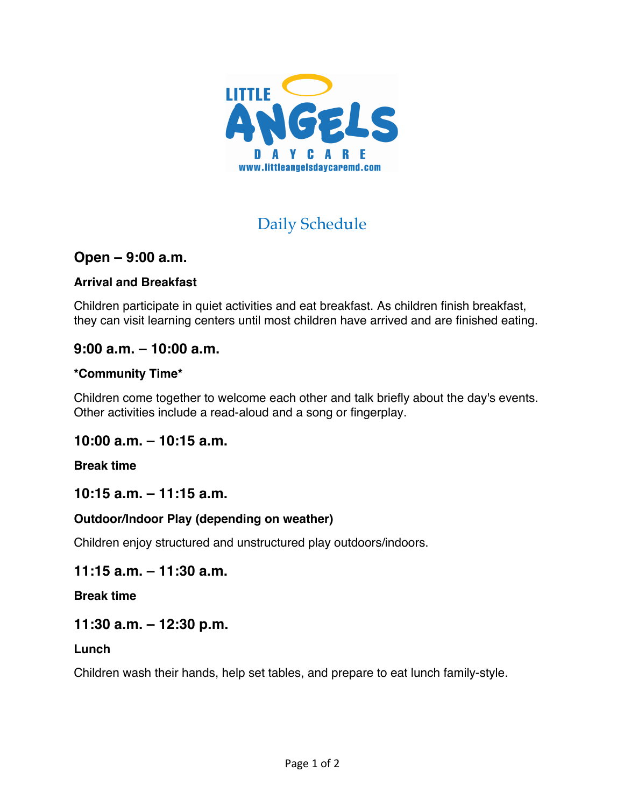

# Daily Schedule

# **Open – 9:00 a.m.**

#### **Arrival and Breakfast**

Children participate in quiet activities and eat breakfast. As children finish breakfast, they can visit learning centers until most children have arrived and are finished eating.

## **9:00 a.m. – 10:00 a.m.**

#### **\*Community Time\***

Children come together to welcome each other and talk briefly about the day's events. Other activities include a read-aloud and a song or fingerplay.

## **10:00 a.m. – 10:15 a.m.**

**Break time**

## **10:15 a.m. – 11:15 a.m.**

#### **Outdoor/Indoor Play (depending on weather)**

Children enjoy structured and unstructured play outdoors/indoors.

## **11:15 a.m. – 11:30 a.m.**

**Break time**

## **11:30 a.m. – 12:30 p.m.**

#### **Lunch**

Children wash their hands, help set tables, and prepare to eat lunch family-style.